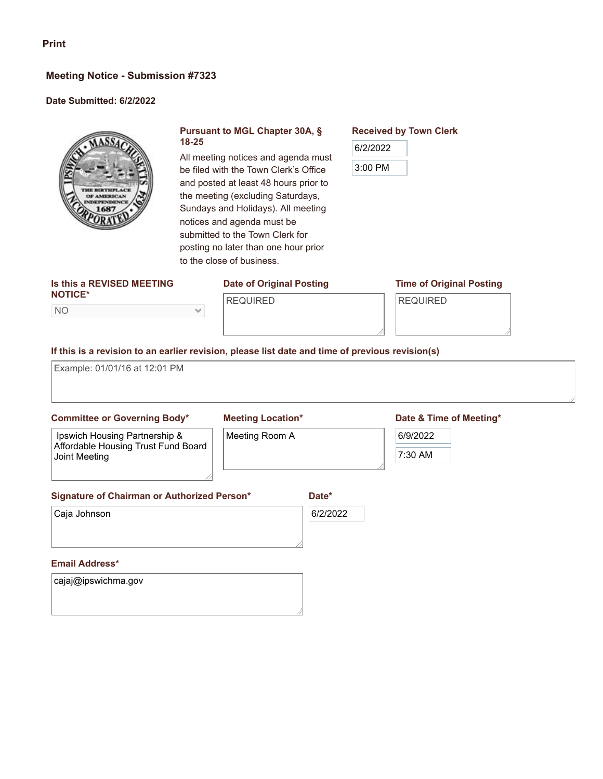#### **Meeting Notice - Submission #7323**

#### **Date Submitted: 6/2/2022**



#### **Pursuant to MGL Chapter 30A, § 18-25**

All meeting notices and agenda must be filed with the Town Clerk's Office and posted at least 48 hours prior to the meeting (excluding Saturdays, Sundays and Holidays). All meeting notices and agenda must be submitted to the Town Clerk for posting no later than one hour prior to the close of business.

#### **Is this a REVISED MEETING NOTICE\***

NO

### **Date of Original Posting**

#### **Time of Original Posting**

REQUIRED

**Received by Town Clerk**

6/2/2022

3:00 PM

REQUIRED

 $\checkmark$ 

#### **If this is a revision to an earlier revision, please list date and time of previous revision(s)**

Example: 01/01/16 at 12:01 PM

#### **Committee or Governing Body\***

## **Meeting Location\***

# Ipswich Housing Partnership &

Meeting Room A

#### **Date & Time of Meeting\***

## 6/9/2022

Affordable Housing Trust Fund Board Joint Meeting

7:30 AM

**Signature of Chairman or Authorized Person\***

Caja Johnson

6/2/2022

**Date\***

#### **Email Address\***

cajaj@ipswichma.gov